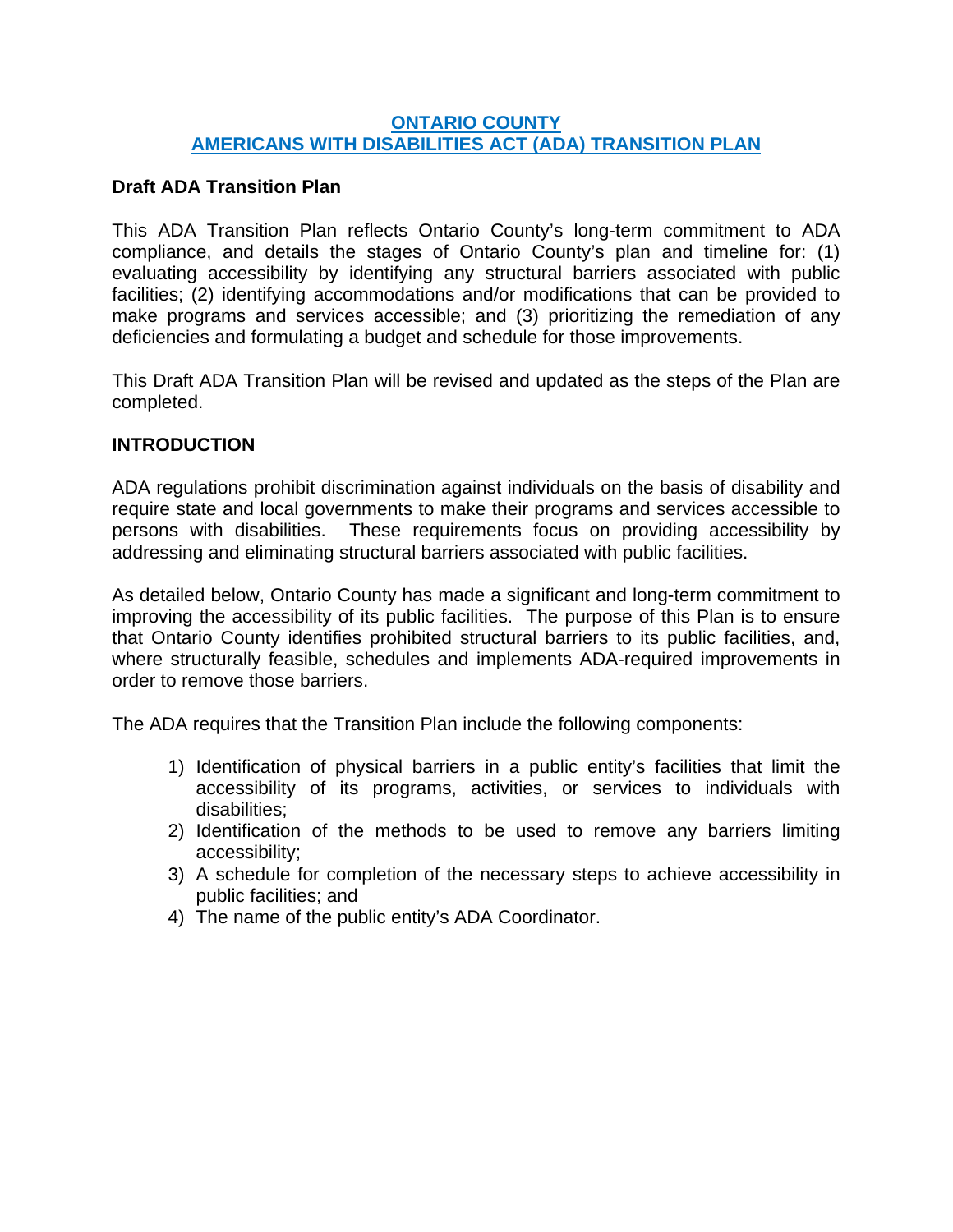### **ONTARIO COUNTY AMERICANS WITH DISABILITIES ACT (ADA) TRANSITION PLAN**

## **Draft ADA Transition Plan**

This ADA Transition Plan reflects Ontario County's long-term commitment to ADA compliance, and details the stages of Ontario County's plan and timeline for: (1) evaluating accessibility by identifying any structural barriers associated with public facilities; (2) identifying accommodations and/or modifications that can be provided to make programs and services accessible; and (3) prioritizing the remediation of any deficiencies and formulating a budget and schedule for those improvements.

This Draft ADA Transition Plan will be revised and updated as the steps of the Plan are completed.

## **INTRODUCTION**

ADA regulations prohibit discrimination against individuals on the basis of disability and require state and local governments to make their programs and services accessible to persons with disabilities. These requirements focus on providing accessibility by addressing and eliminating structural barriers associated with public facilities.

As detailed below, Ontario County has made a significant and long-term commitment to improving the accessibility of its public facilities. The purpose of this Plan is to ensure that Ontario County identifies prohibited structural barriers to its public facilities, and, where structurally feasible, schedules and implements ADA-required improvements in order to remove those barriers.

The ADA requires that the Transition Plan include the following components:

- 1) Identification of physical barriers in a public entity's facilities that limit the accessibility of its programs, activities, or services to individuals with disabilities;
- 2) Identification of the methods to be used to remove any barriers limiting accessibility;
- 3) A schedule for completion of the necessary steps to achieve accessibility in public facilities; and
- 4) The name of the public entity's ADA Coordinator.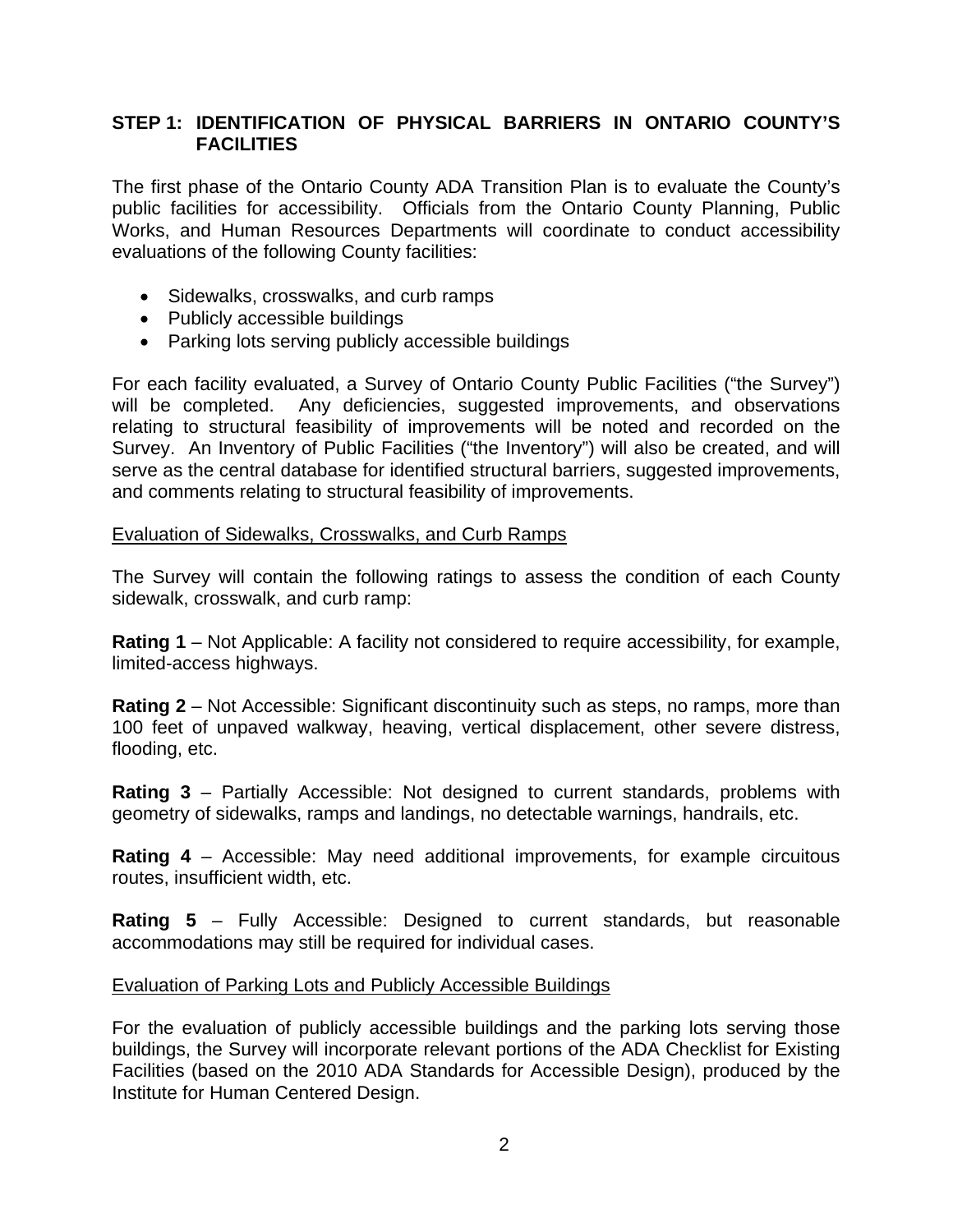## **STEP 1: IDENTIFICATION OF PHYSICAL BARRIERS IN ONTARIO COUNTY'S FACILITIES**

The first phase of the Ontario County ADA Transition Plan is to evaluate the County's public facilities for accessibility. Officials from the Ontario County Planning, Public Works, and Human Resources Departments will coordinate to conduct accessibility evaluations of the following County facilities:

- Sidewalks, crosswalks, and curb ramps
- Publicly accessible buildings
- Parking lots serving publicly accessible buildings

For each facility evaluated, a Survey of Ontario County Public Facilities ("the Survey") will be completed. Any deficiencies, suggested improvements, and observations relating to structural feasibility of improvements will be noted and recorded on the Survey. An Inventory of Public Facilities ("the Inventory") will also be created, and will serve as the central database for identified structural barriers, suggested improvements, and comments relating to structural feasibility of improvements.

### Evaluation of Sidewalks, Crosswalks, and Curb Ramps

The Survey will contain the following ratings to assess the condition of each County sidewalk, crosswalk, and curb ramp:

**Rating 1** – Not Applicable: A facility not considered to require accessibility, for example, limited-access highways.

**Rating 2** – Not Accessible: Significant discontinuity such as steps, no ramps, more than 100 feet of unpaved walkway, heaving, vertical displacement, other severe distress, flooding, etc.

**Rating 3** – Partially Accessible: Not designed to current standards, problems with geometry of sidewalks, ramps and landings, no detectable warnings, handrails, etc.

**Rating 4** – Accessible: May need additional improvements, for example circuitous routes, insufficient width, etc.

**Rating 5** – Fully Accessible: Designed to current standards, but reasonable accommodations may still be required for individual cases.

#### Evaluation of Parking Lots and Publicly Accessible Buildings

For the evaluation of publicly accessible buildings and the parking lots serving those buildings, the Survey will incorporate relevant portions of the ADA Checklist for Existing Facilities (based on the 2010 ADA Standards for Accessible Design), produced by the Institute for Human Centered Design.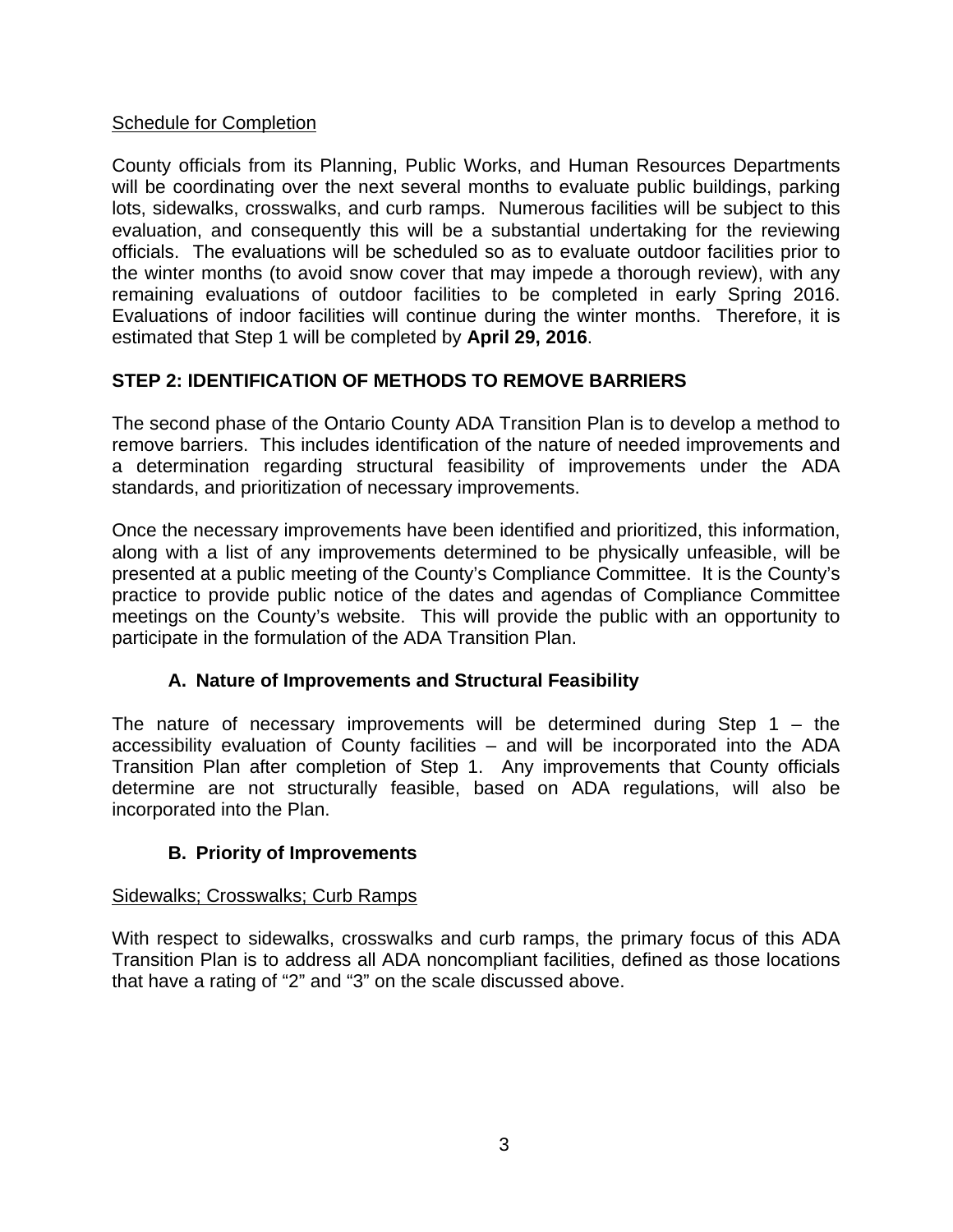## Schedule for Completion

County officials from its Planning, Public Works, and Human Resources Departments will be coordinating over the next several months to evaluate public buildings, parking lots, sidewalks, crosswalks, and curb ramps. Numerous facilities will be subject to this evaluation, and consequently this will be a substantial undertaking for the reviewing officials. The evaluations will be scheduled so as to evaluate outdoor facilities prior to the winter months (to avoid snow cover that may impede a thorough review), with any remaining evaluations of outdoor facilities to be completed in early Spring 2016. Evaluations of indoor facilities will continue during the winter months. Therefore, it is estimated that Step 1 will be completed by **April 29, 2016**.

# **STEP 2: IDENTIFICATION OF METHODS TO REMOVE BARRIERS**

The second phase of the Ontario County ADA Transition Plan is to develop a method to remove barriers. This includes identification of the nature of needed improvements and a determination regarding structural feasibility of improvements under the ADA standards, and prioritization of necessary improvements.

Once the necessary improvements have been identified and prioritized, this information, along with a list of any improvements determined to be physically unfeasible, will be presented at a public meeting of the County's Compliance Committee. It is the County's practice to provide public notice of the dates and agendas of Compliance Committee meetings on the County's website. This will provide the public with an opportunity to participate in the formulation of the ADA Transition Plan.

## **A. Nature of Improvements and Structural Feasibility**

The nature of necessary improvements will be determined during Step 1 – the accessibility evaluation of County facilities – and will be incorporated into the ADA Transition Plan after completion of Step 1. Any improvements that County officials determine are not structurally feasible, based on ADA regulations, will also be incorporated into the Plan.

## **B. Priority of Improvements**

### Sidewalks; Crosswalks; Curb Ramps

With respect to sidewalks, crosswalks and curb ramps, the primary focus of this ADA Transition Plan is to address all ADA noncompliant facilities, defined as those locations that have a rating of "2" and "3" on the scale discussed above.